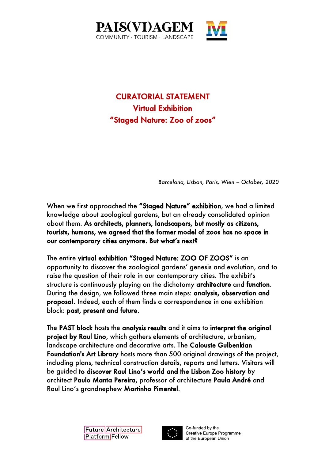

## CURATORIAL STATEMENT Virtual Exhibition "Staged Nature: Zoo of zoos"

*Barcelona, Lisbon, Paris, Wien – October, 2020*

When we first approached the "Staged Nature" exhibition, we had a limited knowledge about zoological gardens, but an already consolidated opinion about them. As architects, planners, landscapers, but mostly as citizens, tourists, humans, we agreed that the former model of zoos has no space in our contemporary cities anymore. But what's next?

The entire virtual exhibition "Staged Nature: ZOO OF ZOOS" is an opportunity to discover the zoological gardens' genesis and evolution, and to raise the question of their role in our contemporary cities. The exhibit's structure is continuously playing on the dichotomy architecture and function. During the design, we followed three main steps: analysis, observation and proposal. Indeed, each of them finds a correspondence in one exhibition block: past, present and future.

The PAST block hosts the analysis results and it aims to interpret the original project by Raul Lino, which gathers elements of architecture, urbanism, landscape architecture and decorative arts. The Calouste Gulbenkian Foundation's Art Library hosts more than 500 original drawings of the project, including plans, technical construction details, reports and letters. Visitors will be guided to discover Raul Lino's world and the Lisbon Zoo history by architect Paulo Manta Pereira, professor of architecture Paula André and Raul Lino's grandnephew Martinho Pimentel.





Co-funded by the Creative Europe Programme of the European Union